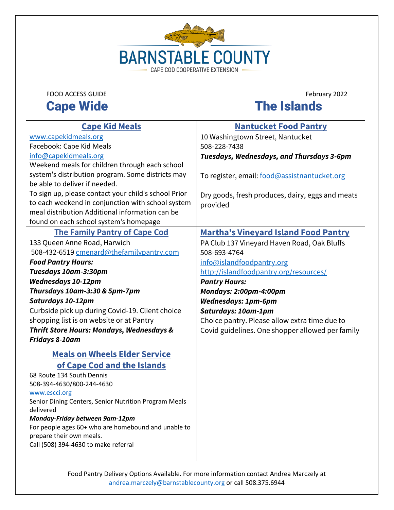

### FOOD ACCESS GUIDE<br> **Cape Wide** The Islands **Cape Wide**

| <b>Cape Kid Meals</b>                                                  | <b>Nantucket Food Pantry</b>                     |
|------------------------------------------------------------------------|--------------------------------------------------|
|                                                                        |                                                  |
| www.capekidmeals.org                                                   | 10 Washingtown Street, Nantucket                 |
| Facebook: Cape Kid Meals                                               | 508-228-7438                                     |
| info@capekidmeals.org                                                  | Tuesdays, Wednesdays, and Thursdays 3-6pm        |
| Weekend meals for children through each school                         |                                                  |
| system's distribution program. Some districts may                      | To register, email: food@assistnantucket.org     |
| be able to deliver if needed.                                          |                                                  |
| To sign up, please contact your child's school Prior                   | Dry goods, fresh produces, dairy, eggs and meats |
| to each weekend in conjunction with school system                      | provided                                         |
| meal distribution Additional information can be                        |                                                  |
| found on each school system's homepage                                 |                                                  |
| <b>The Family Pantry of Cape Cod</b>                                   | <b>Martha's Vineyard Island Food Pantry</b>      |
| 133 Queen Anne Road, Harwich                                           | PA Club 137 Vineyard Haven Road, Oak Bluffs      |
| 508-432-6519 cmenard@thefamilypantry.com                               | 508-693-4764                                     |
| <b>Food Pantry Hours:</b>                                              | info@islandfoodpantry.org                        |
| Tuesdays 10am-3:30pm                                                   | http://islandfoodpantry.org/resources/           |
| <b>Wednesdays 10-12pm</b>                                              | <b>Pantry Hours:</b>                             |
| Thursdays 10am-3:30 & 5pm-7pm                                          | Mondays: 2:00pm-4:00pm                           |
| Saturdays 10-12pm                                                      | <b>Wednesdays: 1pm-6pm</b>                       |
| Curbside pick up during Covid-19. Client choice                        | Saturdays: 10am-1pm                              |
| shopping list is on website or at Pantry                               | Choice pantry. Please allow extra time due to    |
| <b>Thrift Store Hours: Mondays, Wednesdays &amp;</b>                   | Covid guidelines. One shopper allowed per family |
| Fridays 8-10am                                                         |                                                  |
| <b>Meals on Wheels Elder Service</b>                                   |                                                  |
|                                                                        |                                                  |
| of Cape Cod and the Islands                                            |                                                  |
| 68 Route 134 South Dennis                                              |                                                  |
| 508-394-4630/800-244-4630                                              |                                                  |
| www.escci.org<br>Senior Dining Centers, Senior Nutrition Program Meals |                                                  |
| delivered                                                              |                                                  |
| Monday-Friday between 9am-12pm                                         |                                                  |
| For people ages 60+ who are homebound and unable to                    |                                                  |
| prepare their own meals.                                               |                                                  |
| Call (508) 394-4630 to make referral                                   |                                                  |
|                                                                        |                                                  |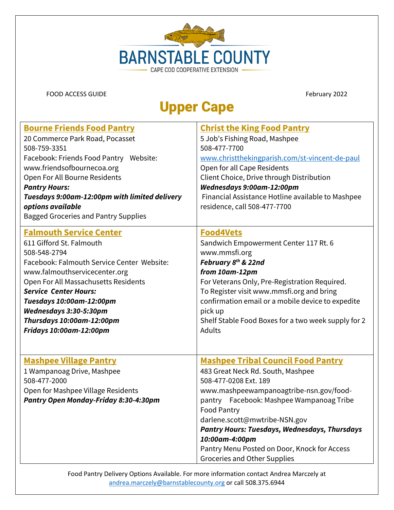

### Upper Cape

| <b>Bourne Friends Food Pantry</b>                                                                                                                          | <b>Christ the King Food Pantry</b>                                                                                                                                                                                                                                                                                                                                                                       |
|------------------------------------------------------------------------------------------------------------------------------------------------------------|----------------------------------------------------------------------------------------------------------------------------------------------------------------------------------------------------------------------------------------------------------------------------------------------------------------------------------------------------------------------------------------------------------|
| 20 Commerce Park Road, Pocasset                                                                                                                            | 5 Job's Fishing Road, Mashpee                                                                                                                                                                                                                                                                                                                                                                            |
| 508-759-3351                                                                                                                                               | 508-477-7700                                                                                                                                                                                                                                                                                                                                                                                             |
| Facebook: Friends Food Pantry Website:                                                                                                                     | www.christthekingparish.com/st-vincent-de-paul                                                                                                                                                                                                                                                                                                                                                           |
| www.friendsofbournecoa.org                                                                                                                                 | Open for all Cape Residents                                                                                                                                                                                                                                                                                                                                                                              |
| Open For All Bourne Residents                                                                                                                              | Client Choice, Drive through Distribution                                                                                                                                                                                                                                                                                                                                                                |
| <b>Pantry Hours:</b>                                                                                                                                       | Wednesdays 9:00am-12:00pm                                                                                                                                                                                                                                                                                                                                                                                |
| Tuesdays 9:00am-12:00pm with limited delivery<br>options available<br><b>Bagged Groceries and Pantry Supplies</b>                                          | Financial Assistance Hotline available to Mashpee<br>residence, call 508-477-7700                                                                                                                                                                                                                                                                                                                        |
| <b>Falmouth Service Center</b>                                                                                                                             | <b>Food4Vets</b>                                                                                                                                                                                                                                                                                                                                                                                         |
| 611 Gifford St. Falmouth                                                                                                                                   | Sandwich Empowerment Center 117 Rt. 6                                                                                                                                                                                                                                                                                                                                                                    |
| 508-548-2794                                                                                                                                               | www.mmsfi.org                                                                                                                                                                                                                                                                                                                                                                                            |
| Facebook: Falmouth Service Center Website:                                                                                                                 | February 8th & 22nd                                                                                                                                                                                                                                                                                                                                                                                      |
| www.falmouthservicecenter.org                                                                                                                              | from 10am-12pm                                                                                                                                                                                                                                                                                                                                                                                           |
| Open For All Massachusetts Residents                                                                                                                       | For Veterans Only, Pre-Registration Required.                                                                                                                                                                                                                                                                                                                                                            |
| <b>Service Center Hours:</b>                                                                                                                               | To Register visit www.mmsfi.org and bring                                                                                                                                                                                                                                                                                                                                                                |
| Tuesdays 10:00am-12:00pm                                                                                                                                   | confirmation email or a mobile device to expedite                                                                                                                                                                                                                                                                                                                                                        |
| Wednesdays 3:30-5:30pm                                                                                                                                     | pick up                                                                                                                                                                                                                                                                                                                                                                                                  |
| Thursdays 10:00am-12:00pm                                                                                                                                  | Shelf Stable Food Boxes for a two week supply for 2                                                                                                                                                                                                                                                                                                                                                      |
| Fridays 10:00am-12:00pm                                                                                                                                    | <b>Adults</b>                                                                                                                                                                                                                                                                                                                                                                                            |
| <b>Mashpee Village Pantry</b><br>1 Wampanoag Drive, Mashpee<br>508-477-2000<br>Open for Mashpee Village Residents<br>Pantry Open Monday-Friday 8:30-4:30pm | <b>Mashpee Tribal Council Food Pantry</b><br>483 Great Neck Rd. South, Mashpee<br>508-477-0208 Ext. 189<br>www.mashpeewampanoagtribe-nsn.gov/food-<br>pantry Facebook: Mashpee Wampanoag Tribe<br>Food Pantry<br>darlene.scott@mwtribe-NSN.gov<br><b>Pantry Hours: Tuesdays, Wednesdays, Thursdays</b><br>10:00am-4:00pm<br>Pantry Menu Posted on Door, Knock for Access<br>Groceries and Other Supplies |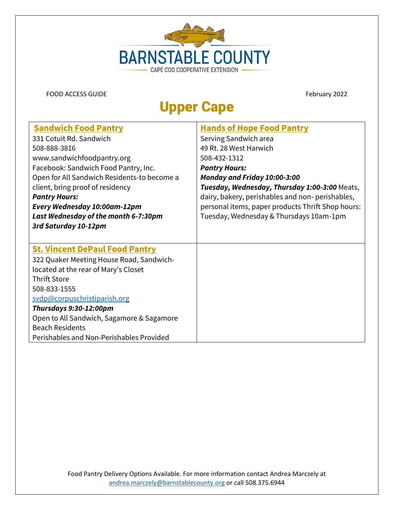

### Upper Cape

| <b>Sandwich Food Pantry</b>                 | <b>Hands of Hope Food Pantry</b>                  |
|---------------------------------------------|---------------------------------------------------|
|                                             |                                                   |
| 331 Cotuit Rd. Sandwich                     | Serving Sandwich area                             |
| 508-888-3816                                | 49 Rt. 28 West Harwich                            |
| www.sandwichfoodpantry.org                  | 508-432-1312                                      |
| Facebook: Sandwich Food Pantry, Inc.        | <b>Pantry Hours:</b>                              |
| Open for All Sandwich Residents-to become a | Monday and Friday 10:00-3:00                      |
| client, bring proof of residency            | Tuesday, Wednesday, Thursday 1:00-3:00 Meats,     |
| <b>Pantry Hours:</b>                        | dairy, bakery, perishables and non-perishables,   |
| Every Wednesday 10:00am-12pm                | personal items, paper products Thrift Shop hours: |
| Last Wednesday of the month 6-7:30pm        | Tuesday, Wednesday & Thursdays 10am-1pm           |
| 3rd Saturday 10-12pm                        |                                                   |
|                                             |                                                   |
| <b>St. Vincent DePaul Food Pantry</b>       |                                                   |
| 322 Quaker Meeting House Road, Sandwich-    |                                                   |
| located at the rear of Mary's Closet        |                                                   |
| <b>Thrift Store</b>                         |                                                   |
| 508-833-1555                                |                                                   |
| svdp@corpuschristiparish.org                |                                                   |
| <b>Thursdays 9:30-12:00pm</b>               |                                                   |
| Open to All Sandwich, Sagamore & Sagamore   |                                                   |
| <b>Beach Residents</b>                      |                                                   |
| Perishables and Non-Perishables Provided    |                                                   |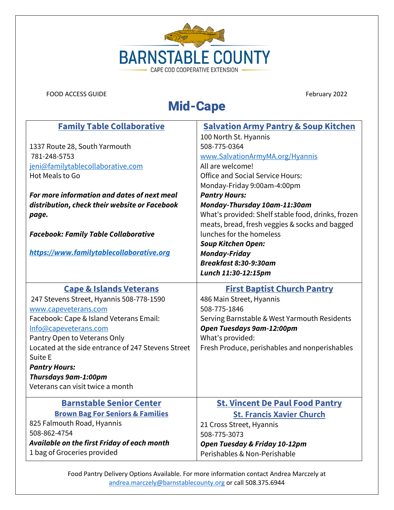

### Mid-Cape

| <b>Family Table Collaborative</b>                  | <b>Salvation Army Pantry &amp; Soup Kitchen</b>    |
|----------------------------------------------------|----------------------------------------------------|
|                                                    | 100 North St. Hyannis                              |
| 1337 Route 28, South Yarmouth                      | 508-775-0364                                       |
| 781-248-5753                                       | www.SalvationArmyMA.org/Hyannis                    |
| jeni@familytablecollaborative.com                  | All are welcome!                                   |
| Hot Meals to Go                                    | <b>Office and Social Service Hours:</b>            |
|                                                    | Monday-Friday 9:00am-4:00pm                        |
| For more information and dates of next meal        | <b>Pantry Hours:</b>                               |
| distribution, check their website or Facebook      | Monday-Thursday 10am-11:30am                       |
| page.                                              | What's provided: Shelf stable food, drinks, frozen |
|                                                    | meats, bread, fresh veggies & socks and bagged     |
| <b>Facebook: Family Table Collaborative</b>        | lunches for the homeless                           |
|                                                    | <b>Soup Kitchen Open:</b>                          |
| https://www.familytablecollaborative.org           | <b>Monday-Friday</b>                               |
|                                                    | Breakfast 8:30-9:30am                              |
|                                                    | Lunch 11:30-12:15pm                                |
| <b>Cape &amp; Islands Veterans</b>                 | <b>First Baptist Church Pantry</b>                 |
| 247 Stevens Street, Hyannis 508-778-1590           | 486 Main Street, Hyannis                           |
| www.capeveterans.com                               | 508-775-1846                                       |
| Facebook: Cape & Island Veterans Email:            | Serving Barnstable & West Yarmouth Residents       |
| Info@capeveterans.com                              | Open Tuesdays 9am-12:00pm                          |
| Pantry Open to Veterans Only                       | What's provided:                                   |
| Located at the side entrance of 247 Stevens Street | Fresh Produce, perishables and nonperishables      |
| Suite E                                            |                                                    |
| <b>Pantry Hours:</b>                               |                                                    |
| Thursdays 9am-1:00pm                               |                                                    |
| Veterans can visit twice a month                   |                                                    |
| <b>Barnstable Senior Center</b>                    | <b>St. Vincent De Paul Food Pantry</b>             |
| <b>Brown Bag For Seniors &amp; Families</b>        | <b>St. Francis Xavier Church</b>                   |
| 825 Falmouth Road, Hyannis                         | 21 Cross Street, Hyannis                           |
| 508-862-4754                                       | 508-775-3073                                       |
| Available on the first Friday of each month        | Open Tuesday & Friday 10-12pm                      |
| 1 bag of Groceries provided                        | Perishables & Non-Perishable                       |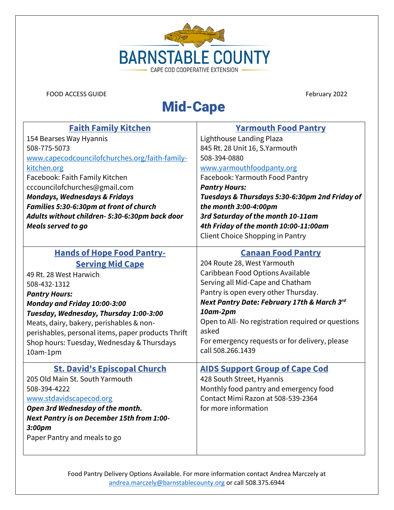

## Mid-Cape

| <b>Faith Family Kitchen</b>                        | <b>Yarmouth Food Pantry</b>                       |
|----------------------------------------------------|---------------------------------------------------|
| 154 Bearses Way Hyannis                            | Lighthouse Landing Plaza                          |
| 508-775-5073                                       | 845 Rt. 28 Unit 16, S. Yarmouth                   |
| www.capecodcouncilofchurches.org/faith-family-     | 508-394-0880                                      |
| kitchen.org                                        | www.yarmouthfoodpanty.org                         |
| Facebook: Faith Family Kitchen                     | Facebook: Yarmouth Food Pantry                    |
| cccouncilofchurches@gmail.com                      | <b>Pantry Hours:</b>                              |
| <b>Mondays, Wednesdays &amp; Fridays</b>           | Tuesdays & Thursdays 5:30-6:30pm 2nd Friday of    |
| Families 5:30-6:30pm at front of church            | the month 3:00-4:00pm                             |
| Adults without children- 5:30-6:30pm back door     | 3rd Saturday of the month 10-11am                 |
| <b>Meals served to go</b>                          | 4th Friday of the month 10:00-11:00am             |
|                                                    | Client Choice Shopping in Pantry                  |
| <b>Hands of Hope Food Pantry-</b>                  | <b>Canaan Food Pantry</b>                         |
| <b>Serving Mid Cape</b>                            | 204 Route 28, West Yarmouth                       |
| 49 Rt. 28 West Harwich                             | Caribbean Food Options Available                  |
| 508-432-1312                                       | Serving all Mid-Cape and Chatham                  |
| <b>Pantry Hours:</b>                               | Pantry is open every other Thursday.              |
| Monday and Friday 10:00-3:00                       | Next Pantry Date: February 17th & March 3rd       |
| Tuesday, Wednesday, Thursday 1:00-3:00             | 10am-2pm                                          |
| Meats, dairy, bakery, perishables & non-           | Open to All-No registration required or questions |
| perishables, personal items, paper products Thrift | asked                                             |
| Shop hours: Tuesday, Wednesday & Thursdays         | For emergency requests or for delivery, please    |
| 10am-1pm                                           | call 508.266.1439                                 |
|                                                    |                                                   |
| <b>St. David's Episcopal Church</b>                | <b>AIDS Support Group of Cape Cod</b>             |
| 205 Old Main St. South Yarmouth                    | 428 South Street, Hyannis                         |
| 508-394-4222                                       | Monthly food pantry and emergency food            |
| www.stdavidscapecod.org                            | Contact Mimi Razon at 508-539-2364                |
| Open 3rd Wednesday of the month.                   | for more information                              |
| Next Pantry is on December 15th from 1:00-         |                                                   |
| 3:00pm                                             |                                                   |
| Paper Pantry and meals to go                       |                                                   |
|                                                    |                                                   |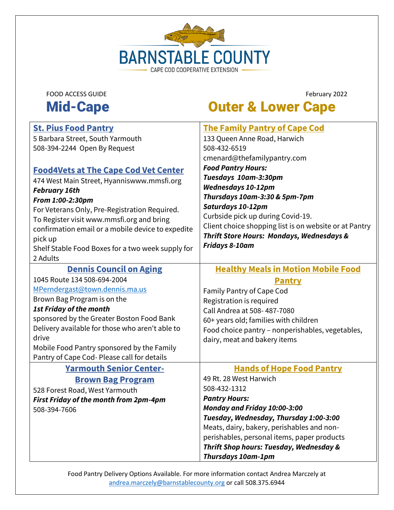

# Mid-Cape **Outer & Lower Cape**

| <b>St. Pius Food Pantry</b>                       | <b>The Family Pantry of Cape Cod</b>                   |
|---------------------------------------------------|--------------------------------------------------------|
| 5 Barbara Street, South Yarmouth                  | 133 Queen Anne Road, Harwich                           |
| 508-394-2244 Open By Request                      | 508-432-6519                                           |
|                                                   | cmenard@thefamilypantry.com                            |
| <b>Food4Vets at The Cape Cod Vet Center</b>       | <b>Food Pantry Hours:</b>                              |
| 474 West Main Street, Hyanniswww.mmsfi.org        | Tuesdays 10am-3:30pm                                   |
| <b>February 16th</b>                              | <b>Wednesdays 10-12pm</b>                              |
| From 1:00-2:30pm                                  | Thursdays 10am-3:30 & 5pm-7pm                          |
| For Veterans Only, Pre-Registration Required.     | Saturdays 10-12pm                                      |
| To Register visit www.mmsfi.org and bring         | Curbside pick up during Covid-19.                      |
| confirmation email or a mobile device to expedite | Client choice shopping list is on website or at Pantry |
| pick up                                           | <b>Thrift Store Hours: Mondays, Wednesdays &amp;</b>   |
| Shelf Stable Food Boxes for a two week supply for | <b>Fridays 8-10am</b>                                  |
| 2 Adults                                          |                                                        |
| <b>Dennis Council on Aging</b>                    | <b>Healthy Meals in Motion Mobile Food</b>             |
| 1045 Route 134 508-694-2004                       | Pantry                                                 |
| MPerndergast@town.dennis.ma.us                    | Family Pantry of Cape Cod                              |
| Brown Bag Program is on the                       | Registration is required                               |
| <b>1st Friday of the month</b>                    | Call Andrea at 508-487-7080                            |
| sponsored by the Greater Boston Food Bank         | 60+ years old; families with children                  |
| Delivery available for those who aren't able to   | Food choice pantry - nonperishables, vegetables,       |
| drive                                             | dairy, meat and bakery items                           |
| Mobile Food Pantry sponsored by the Family        |                                                        |
| Pantry of Cape Cod- Please call for details       |                                                        |
| <b>Yarmouth Senior Center-</b>                    | <b>Hands of Hope Food Pantry</b>                       |
| <b>Brown Bag Program</b>                          | 49 Rt. 28 West Harwich                                 |
| 528 Forest Road, West Yarmouth                    | 508-432-1312                                           |
| <b>First Friday of the month from 2pm-4pm</b>     | <b>Pantry Hours:</b>                                   |
| 508-394-7606                                      | Monday and Friday 10:00-3:00                           |
|                                                   | Tuesday, Wednesday, Thursday 1:00-3:00                 |
|                                                   | Meats, dairy, bakery, perishables and non-             |
|                                                   | perishables, personal items, paper products            |
|                                                   | <b>Thrift Shop hours: Tuesday, Wednesday &amp;</b>     |
|                                                   | <b>Thursdays 10am-1pm</b>                              |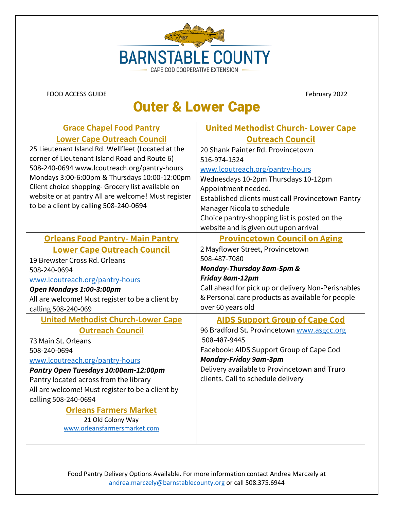

### Outer & Lower Cape

| <b>Grace Chapel Food Pantry</b>                     | <b>United Methodist Church-Lower Cape</b>          |
|-----------------------------------------------------|----------------------------------------------------|
| <b>Lower Cape Outreach Council</b>                  | <b>Outreach Council</b>                            |
| 25 Lieutenant Island Rd. Wellfleet (Located at the  | 20 Shank Painter Rd. Provincetown                  |
| corner of Lieutenant Island Road and Route 6)       | 516-974-1524                                       |
| 508-240-0694 www.lcoutreach.org/pantry-hours        | www.lcoutreach.org/pantry-hours                    |
| Mondays 3:00-6:00pm & Thursdays 10:00-12:00pm       | Wednesdays 10-2pm Thursdays 10-12pm                |
| Client choice shopping- Grocery list available on   | Appointment needed.                                |
| website or at pantry All are welcome! Must register | Established clients must call Provincetown Pantry  |
| to be a client by calling 508-240-0694              | Manager Nicola to schedule                         |
|                                                     | Choice pantry-shopping list is posted on the       |
|                                                     | website and is given out upon arrival              |
| <b>Orleans Food Pantry- Main Pantry</b>             | <b>Provincetown Council on Aging</b>               |
| <b>Lower Cape Outreach Council</b>                  | 2 Mayflower Street, Provincetown                   |
| 19 Brewster Cross Rd. Orleans                       | 508-487-7080                                       |
| 508-240-0694                                        | Monday-Thursday 8am-5pm &                          |
| www.lcoutreach.org/pantry-hours                     | Friday 8am-12pm                                    |
| Open Mondays 1:00-3:00pm                            | Call ahead for pick up or delivery Non-Perishables |
| All are welcome! Must register to be a client by    | & Personal care products as available for people   |
| calling 508-240-069                                 | over 60 years old                                  |
| <b>United Methodist Church-Lower Cape</b>           | <b>AIDS Support Group of Cape Cod</b>              |
| <b>Outreach Council</b>                             | 96 Bradford St. Provincetown www.asgcc.org         |
| 73 Main St. Orleans                                 | 508-487-9445                                       |
| 508-240-0694                                        | Facebook: AIDS Support Group of Cape Cod           |
| www.lcoutreach.org/pantry-hours                     | <b>Monday-Friday 9am-3pm</b>                       |
| Pantry Open Tuesdays 10:00am-12:00pm                | Delivery available to Provincetown and Truro       |
| Pantry located across from the library              | clients. Call to schedule delivery                 |
| All are welcome! Must register to be a client by    |                                                    |
| calling 508-240-0694                                |                                                    |
| <b>Orleans Farmers Market</b>                       |                                                    |
| 21 Old Colony Way                                   |                                                    |
| www.orleansfarmersmarket.com                        |                                                    |
|                                                     |                                                    |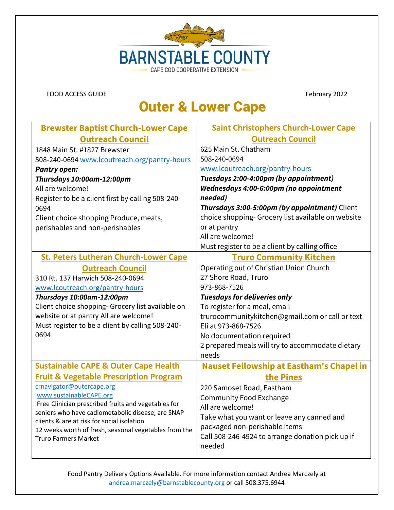

### Outer & Lower Cape

| <b>Brewster Baptist Church-Lower Cape</b>                                                       | <b>Saint Christophers Church-Lower Cape</b>        |
|-------------------------------------------------------------------------------------------------|----------------------------------------------------|
| <b>Outreach Council</b>                                                                         | <b>Outreach Council</b>                            |
| 1848 Main St. #1827 Brewster                                                                    | 625 Main St. Chatham                               |
| 508-240-0694 www.lcoutreach.org/pantry-hours                                                    | 508-240-0694                                       |
| <b>Pantry open:</b>                                                                             | www.lcoutreach.org/pantry-hours                    |
| Thursdays 10:00am-12:00pm                                                                       | Tuesdays 2:00-4:00pm (by appointment)              |
| All are welcome!                                                                                | Wednesdays 4:00-6:00pm (no appointment             |
| Register to be a client first by calling 508-240-                                               | needed)                                            |
| 0694                                                                                            | Thursdays 3:00-5:00pm (by appointment) Client      |
| Client choice shopping Produce, meats,                                                          | choice shopping- Grocery list available on website |
| perishables and non-perishables                                                                 | or at pantry                                       |
|                                                                                                 | All are welcome!                                   |
|                                                                                                 | Must register to be a client by calling office     |
| <b>St. Peters Lutheran Church-Lower Cape</b>                                                    | <b>Truro Community Kitchen</b>                     |
| <b>Outreach Council</b>                                                                         | Operating out of Christian Union Church            |
| 310 Rt. 137 Harwich 508-240-0694                                                                | 27 Shore Road, Truro                               |
| www.lcoutreach.org/pantry-hours                                                                 | 973-868-7526                                       |
| Thursdays 10:00am-12:00pm                                                                       | <b>Tuesdays for deliveries only</b>                |
| Client choice shopping- Grocery list available on                                               | To register for a meal, email                      |
| website or at pantry All are welcome!                                                           | trurocommunitykitchen@gmail.com or call or text    |
| Must register to be a client by calling 508-240-                                                | Eli at 973-868-7526                                |
| 0694                                                                                            | No documentation required                          |
|                                                                                                 | 2 prepared meals will try to accommodate dietary   |
|                                                                                                 | needs                                              |
| <b>Sustainable CAPE &amp; Outer Cape Health</b>                                                 | <b>Nauset Fellowship at Eastham's Chapelin</b>     |
| <b>Fruit &amp; Vegetable Prescription Program</b>                                               | the Pines                                          |
| crnavigator@outercape.org                                                                       | 220 Samoset Road, Eastham                          |
| www.sustainableCAPE.org                                                                         | <b>Community Food Exchange</b>                     |
| Free Clinician prescribed fruits and vegetables for                                             | All are welcome!                                   |
| seniors who have cadiometabolic disease, are SNAP<br>clients & are at risk for social isolation | Take what you want or leave any canned and         |
| 12 weeks worth of fresh, seasonal vegetables from the                                           | packaged non-perishable items                      |
| <b>Truro Farmers Market</b>                                                                     | Call 508-246-4924 to arrange donation pick up if   |
|                                                                                                 | needed                                             |
|                                                                                                 |                                                    |